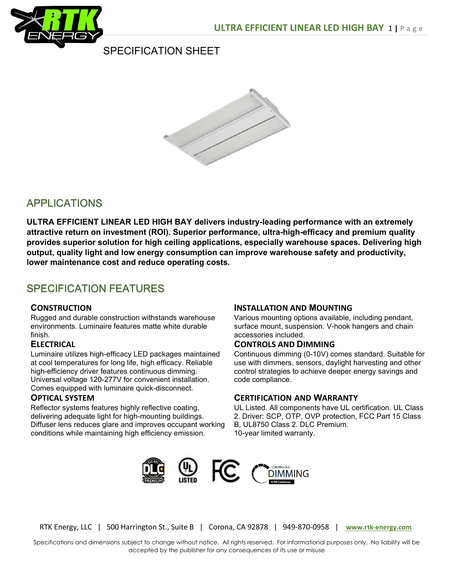

## SPECIFICATION SHEET



## APPLICATIONS

ULTRA EFFICIENT LINEAR LED HIGH BAY delivers industry-leading performance with an extremely attractive return on investment (ROI). Superior performance, ultra-high-efficacy and premium quality provides superior solution for high ceiling applications, especially warehouse spaces. Delivering high output, quality light and low energy consumption can improve warehouse safety and productivity, lower maintenance cost and reduce operating costs.

## SPECIFICATION FEATURES

## **CONSTRUCTION**

Rugged and durable construction withstands warehouse environments. Luminaire features matte white durable finish.

## **ELECTRICAL**

Luminaire utilizes high-efficacy LED packages maintained at cool temperatures for long life, high efficacy. Reliable high-efficiency driver features continuous dimming. Universal voltage 120-277V for convenient installation. Comes equipped with luminaire quick-disconnect.

## OPTICAL SYSTEM

Reflector systems features highly reflective coating, delivering adequate light for high-mounting buildings. Diffuser lens reduces glare and improves occupant working conditions while maintaining high efficiency emission.

## INSTALLATION AND MOUNTING

Various mounting options available, including pendant, surface mount, suspension. V-hook hangers and chain accessories included.

#### CONTROLS AND DIMMING

Continuous dimming (0-10V) comes standard. Suitable for use with dimmers, sensors, daylight harvesting and other control strategies to achieve deeper energy savings and code compliance.

## CERTIFICATION AND WARRANTY

UL Listed. All components have UL certification. UL Class 2. Driver: SCP, OTP, OVP protection, FCC Part 15 Class B, UL8750 Class 2. DLC Premium. 10-year limited warranty.



RTK Energy, LLC | 500 Harrington St., Suite B | Corona, CA 92878 | 949-870-0958 | www.rtk-energy.com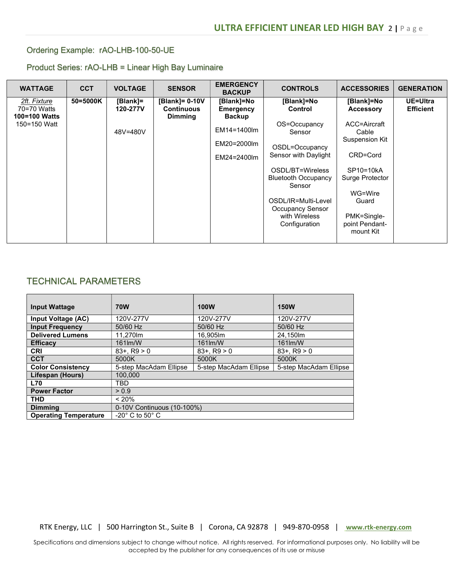## Ordering Example: rAO-LHB-100-50-UE

#### Product Series: rAO-LHB = Linear High Bay Luminaire

| <b>WATTAGE</b>                               | <b>CCT</b> | <b>VOLTAGE</b>       | <b>SENSOR</b>                                         | <b>EMERGENCY</b><br><b>BACKUP</b>        | <b>CONTROLS</b>                                                 | <b>ACCESSORIES</b>                             | <b>GENERATION</b>            |
|----------------------------------------------|------------|----------------------|-------------------------------------------------------|------------------------------------------|-----------------------------------------------------------------|------------------------------------------------|------------------------------|
| 2ft. Fixture<br>70=70 Watts<br>100=100 Watts | 50=5000K   | [Blank]=<br>120-277V | [Blank]= 0-10V<br><b>Continuous</b><br><b>Dimming</b> | [Blank]=No<br>Emergency<br><b>Backup</b> | [Blank]=No<br>Control                                           | [Blank]=No<br><b>Accessory</b>                 | UE=Ultra<br><b>Efficient</b> |
| 150=150 Watt                                 |            | 48V=480V             |                                                       | EM14=1400lm<br>EM20=2000lm               | OS=Occupancy<br>Sensor<br>OSDL=Occupancy                        | ACC=Aircraft<br>Cable<br><b>Suspension Kit</b> |                              |
|                                              |            |                      |                                                       | EM24=2400lm                              | Sensor with Daylight                                            | CRD=Cord                                       |                              |
|                                              |            |                      |                                                       |                                          | OSDL/BT=Wireless<br><b>Bluetooth Occupancy</b><br>Sensor        | SP10=10kA<br>Surge Protector                   |                              |
|                                              |            |                      |                                                       |                                          | OSDL/IR=Multi-Level<br><b>Occupancy Sensor</b><br>with Wireless | WG=Wire<br>Guard<br>PMK=Single-                |                              |
|                                              |            |                      |                                                       |                                          | Configuration                                                   | point Pendant-<br>mount Kit                    |                              |

## TECHNICAL PARAMETERS

| <b>Input Wattage</b>         | <b>70W</b>                     | <b>100W</b>            | <b>150W</b>            |
|------------------------------|--------------------------------|------------------------|------------------------|
| Input Voltage (AC)           | 120V-277V                      | 120V-277V              | 120V-277V              |
| <b>Input Frequency</b>       | 50/60 Hz                       | 50/60 Hz               | 50/60 Hz               |
| <b>Delivered Lumens</b>      | 11.270lm                       | 16.905lm               | 24.150m                |
| <b>Efficacy</b>              | 161lm/W                        | 161lm/W                | 161lm/W                |
| <b>CRI</b>                   | $83 + . R9 > 0$                | $83 + R9 > 0$          | $83 + R9 > 0$          |
| <b>CCT</b>                   | 5000K                          | 5000K                  | 5000K                  |
| <b>Color Consistency</b>     | 5-step MacAdam Ellipse         | 5-step MacAdam Ellipse | 5-step MacAdam Ellipse |
| Lifespan (Hours)             | 100,000                        |                        |                        |
| <b>L70</b>                   | TBD                            |                        |                        |
| <b>Power Factor</b>          | > 0.9                          |                        |                        |
| <b>THD</b>                   | < 20%                          |                        |                        |
| <b>Dimming</b>               | 0-10V Continuous (10-100%)     |                        |                        |
| <b>Operating Temperature</b> | $-20^\circ$ C to 50 $^\circ$ C |                        |                        |

RTK Energy, LLC | 500 Harrington St., Suite B | Corona, CA 92878 | 949-870-0958 | www.rtk-energy.com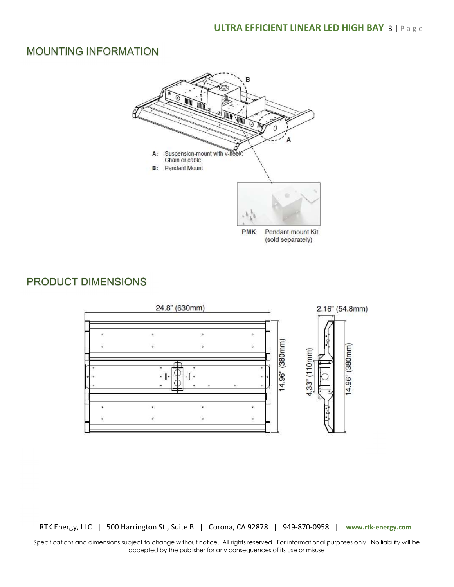## MOUNTING INFORMATION



(sold separately)

## PRODUCT DIMENSIONS



RTK Energy, LLC | 500 Harrington St., Suite B | Corona, CA 92878 | 949-870-0958 | www.rtk-energy.com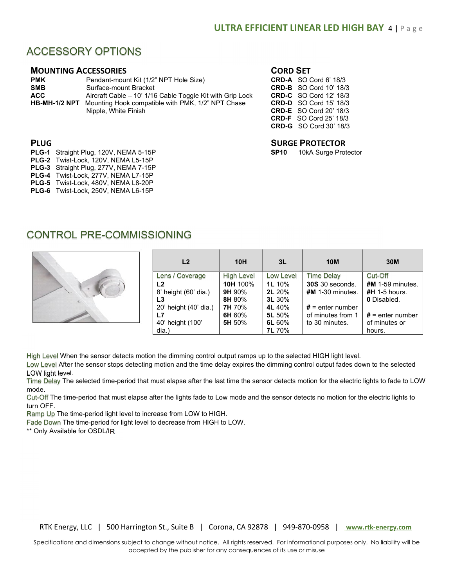## ACCESSORY OPTIONS

#### MOUNTING ACCESSORIES

| <b>PMK</b>    | Pendant-mount Kit (1/2" NPT Hole Size)                    |
|---------------|-----------------------------------------------------------|
| <b>SMB</b>    | Surface-mount Bracket                                     |
| <b>ACC</b>    | Aircraft Cable – 10' 1/16 Cable Toggle Kit with Grip Lock |
| HB-MH-1/2 NPT | Mounting Hook compatible with PMK, 1/2" NPT Chase         |
|               | Nipple, White Finish                                      |

#### CORD SET

|              | <b>CRD-A</b> SO Cord 6' 18/3  |
|--------------|-------------------------------|
|              | <b>CRD-B</b> SO Cord 10' 18/3 |
|              | <b>CRD-C</b> SO Cord 12' 18/3 |
| <b>CRD-D</b> | SO Cord 15' 18/3              |
| <b>CRD-E</b> | SO Cord 20' 18/3              |
| <b>CRD-F</b> | SO Cord 25' 18/3              |
|              | <b>CRD-G</b> SO Cord 30' 18/3 |

# **SURGE PROTECTOR**<br>SP10 10kA Surge Pro

10kA Surge Protector

- PLUG
- PLG-1 Straight Plug, 120V, NEMA 5-15P
- PLG-2 Twist-Lock, 120V, NEMA L5-15P
- PLG-3 Straight Plug, 277V, NEMA 7-15P
- PLG-4 Twist-Lock, 277V, NEMA L7-15P PLG-5 Twist-Lock, 480V, NEMA L8-20P
- PLG-6 Twist-Lock, 250V, NEMA L6-15P
- CONTROL PRE-COMMISSIONING



| L2                    | 10H               | 3L            | <b>10M</b>             | 30M                |
|-----------------------|-------------------|---------------|------------------------|--------------------|
| Lens / Coverage       | <b>High Level</b> | Low Level     | <b>Time Delay</b>      | Cut-Off            |
| L <sub>2</sub>        | 10H 100%          | <b>1L</b> 10% | <b>30S</b> 30 seconds. | $#M$ 1-59 minutes. |
| 8' height (60' dia.)  | <b>9H</b> 90%     | <b>2L</b> 20% | $#M$ 1-30 minutes.     | $#H$ 1-5 hours.    |
| L3                    | 8H 80%            | <b>3L</b> 30% |                        | <b>0</b> Disabled. |
| 20' height (40' dia.) | 7H 70%            | 4L 40%        | $#$ = enter number     |                    |
| L7                    | 6H 60%            | 5L 50%        | of minutes from 1      | $#$ = enter number |
| 40' height (100'      | 5H 50%            | 6L 60%        | to 30 minutes.         | of minutes or      |
| dia.)                 |                   | <b>7L</b> 70% |                        | hours.             |

High Level When the sensor detects motion the dimming control output ramps up to the selected HIGH light level.

Low Level After the sensor stops detecting motion and the time delay expires the dimming control output fades down to the selected LOW light level.

Time Delay The selected time-period that must elapse after the last time the sensor detects motion for the electric lights to fade to LOW mode.

Cut-Off The time-period that must elapse after the lights fade to Low mode and the sensor detects no motion for the electric lights to turn OFF.

Ramp Up The time-period light level to increase from LOW to HIGH.

Fade Down The time-period for light level to decrease from HIGH to LOW.

\*\* Only Available for OSDL/IR

RTK Energy, LLC | 500 Harrington St., Suite B | Corona, CA 92878 | 949-870-0958 | www.rtk-energy.com